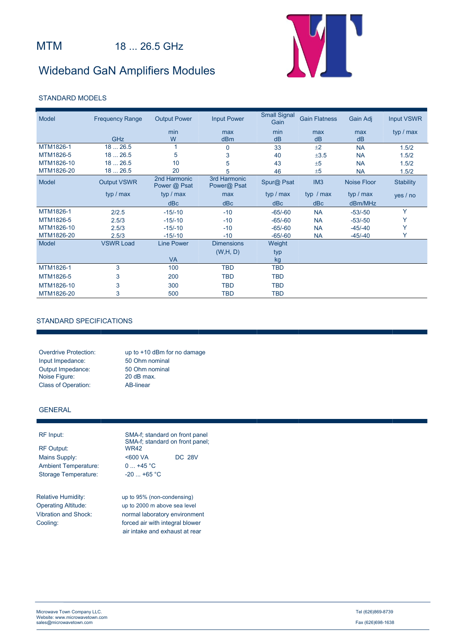# Wideband GaN Amplifiers Modules



### STANDARD MODELS

| Model      | <b>Frequency Range</b> | <b>Output Power</b>          | <b>Input Power</b>          | <b>Small Signal</b><br>Gain | <b>Gain Flatness</b> | Gain Adj           | <b>Input VSWR</b> |
|------------|------------------------|------------------------------|-----------------------------|-----------------------------|----------------------|--------------------|-------------------|
|            |                        | min                          | max                         | min                         | max                  | max                | typ / max         |
|            | GHz                    | W                            | dBm                         | dB                          | dB                   | dB                 |                   |
| MTM1826-1  | 1826.5                 |                              | 0                           | 33                          | ±2                   | <b>NA</b>          | 1.5/2             |
| MTM1826-5  | 1826.5                 | 5                            | 3                           | 40                          | ±3.5                 | <b>NA</b>          | 1.5/2             |
| MTM1826-10 | 1826.5                 | 10                           | 5                           | 43                          | ±5                   | <b>NA</b>          | 1.5/2             |
| MTM1826-20 | 1826.5                 | 20                           | 5                           | 46                          | ±5                   | <b>NA</b>          | 1.5/2             |
| Model      | <b>Output VSWR</b>     | 2nd Harmonic<br>Power @ Psat | 3rd Harmonic<br>Power@ Psat | Spur@ Psat                  | IM <sub>3</sub>      | <b>Noise Floor</b> | <b>Stability</b>  |
|            | typ / max              | typ / max                    | max                         | typ / max                   | typ $/max$           | typ / max          | yes / no          |
|            |                        | dBc                          | dBc                         | dBc                         | dBc                  | dBm/MHz            |                   |
| MTM1826-1  | 2/2.5                  | $-15/-10$                    | $-10$                       | $-65/-60$                   | <b>NA</b>            | $-53/-50$          | Y                 |
| MTM1826-5  | 2.5/3                  | $-15/-10$                    | $-10$                       | $-65/-60$                   | <b>NA</b>            | $-53/-50$          |                   |
| MTM1826-10 | 2.5/3                  | $-15/-10$                    | $-10$                       | $-65/-60$                   | <b>NA</b>            | $-45/-40$          | Y                 |
| MTM1826-20 | 2.5/3                  | $-15/-10$                    | $-10$                       | $-65/-60$                   | <b>NA</b>            | $-45/ -40$         |                   |
| Model      | <b>VSWR Load</b>       | <b>Line Power</b>            | <b>Dimensions</b>           | Weight                      |                      |                    |                   |
|            |                        |                              | (W,H, D)                    | typ                         |                      |                    |                   |
|            |                        | <b>VA</b>                    |                             | kg                          |                      |                    |                   |
| MTM1826-1  | 3                      | 100                          | <b>TBD</b>                  | <b>TBD</b>                  |                      |                    |                   |
| MTM1826-5  | 3                      | 200                          | <b>TBD</b>                  | <b>TBD</b>                  |                      |                    |                   |
| MTM1826-10 | 3                      | 300                          | <b>TBD</b>                  | <b>TBD</b>                  |                      |                    |                   |
| MTM1826-20 | 3                      | 500                          | TBD                         | <b>TBD</b>                  |                      |                    |                   |

### STANDARD SPECIFICATIONS

Input Impedance: 50 Ohm nominal<br>
Output Impedance: 50 Ohm nominal Output Impedance: 50 Ohm nominals by 50 Ohm nominals by 50 Ohm nominals by 50 Ohm nominals by 50 Ohm nominals by 50 Ohm nominals by 50 Ohm nominals by 50 Ohm nominals by 50 Ohm nominals by 50 Ohm nominals by 50 Ohm nominal Noise Figure: Class of Operation: AB-linear

Overdrive Protection: up to +10 dBm for no damage

### GENERAL

Ambient Temperature: 0 ... +45 °C Storage Temperature: -20 ... +65 °C

RF Input: SMA-f; standard on front panel SMA-f; standard on front panel;<br>RF Output: WR42 WR42 Mains Supply: <600 VA DC 28V

Relative Humidity: up to 95% (non-condensing) Operating Altitude: up to 2000 m above sea level Vibration and Shock: normal laboratory environment Cooling: forced air with integral blower air intake and exhaust at rear